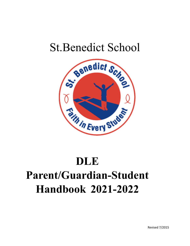## St.Benedict School



# **DLE Parent/Guardian-Student Handbook 2021-2022**

Revised 7/2015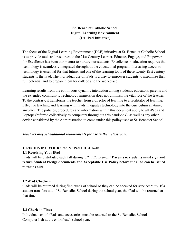## **St. Benedict Catholic School Digital Learning Environment (1:1 iPad Initiative)**

The focus of the Digital Learning Environment (DLE) initiative at St. Benedict Catholic School is to provide tools and resources to the 21st Century Learner. Educate, Engage, and Empower for Excellence has been our mantra to nurture our students. Excellence in education requires that technology is seamlessly integrated throughout the educational program. Increasing access to technology is essential for that future, and one of the learning tools of these twenty-first century students is the iPad. The individual use of iPads is a way to empower students to maximize their full potential and to prepare them for college and the workplace.

Learning results from the continuous dynamic interaction among students, educators, parents and the extended community. Technology immersion does not diminish the vital role of the teacher. To the contrary, it transforms the teacher from a director of learning to a facilitator of learning. Effective teaching and learning with iPads integrates technology into the curriculum anytime, anyplace. The policies, procedures and information within this document apply to all iPads and Laptops (referred collectively as computers throughout this handbook), as well as any other device considered by the Administration to come under this policy used at St. Benedict School.

#### *Teachers may set additional requirements for use in their classroom.*

## **1. RECEIVING YOUR iPad & iPad CHECK-IN**

#### **1.1 Receiving Your iPad**

iPads will be distributed each fall during "*iPad Bootcamp.*" **Parents & students must sign and return Student Pledge documents and Acceptable Use Policy before the iPad can be issued to their child.**

#### **1.2 iPad Check-in**

iPads will be returned during final week of school so they can be checked for serviceability. If a student transfers out of St. Benedict School during the school year, the iPad will be returned at that time.

#### **1.3 Check-in Fines**

Individual school iPads and accessories must be returned to the St. Benedict School Computer Lab at the end of each school year.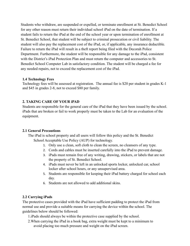Students who withdraw, are suspended or expelled, or terminate enrollment at St. Benedict School for any other reason must return their individual school iPad on the date of termination. If a student fails to return the iPad at the end of the school year or upon termination of enrollment at St. Benedict School, that student will be subject to criminal prosecution or civil liability. The student will also pay the replacement cost of the iPad, or, if applicable, any insurance deductible. Failure to return the iPad will result in a theft report being filed with the Decorah Police Department. Furthermore, the student will be responsible for any damage to the iPad, consistent with the District's iPad Protection Plan and must return the computer and accessories to St. Benedict School Computer Lab in satisfactory condition. The student will be charged a fee for any needed repairs, not to exceed the replacement cost of the iPad.

## **1.4 Technology Fees**

Technology fees will be assessed at registration. The annual fee is \$20 per student in grades K-1 and \$45 in grades 2-8, not to exceed \$80 per family.

## **2. TAKING CARE OF YOUR iPAD**

Students are responsible for the general care of the iPad that they have been issued by the school. iPads that are broken or fail to work properly must be taken to the Lab for an evaluation of the equipment.

## **2.1 General Precautions**

The iPad is school property and all users will follow this policy and the St. Benedict School Acceptable Use Policy (AUP) for technology.

- 1. Only use a clean, soft cloth to clean the screen, no cleansers of any type.
- 2. Cords and cables must be inserted carefully into the iPad to prevent damage.
- 3. iPads must remain free of any writing, drawing, stickers, or labels that are not the property of St. Benedict School.
- 4. iPads must never be left in an unlocked sports locker, unlocked car, school locker after school hours, or any unsupervised area.
- 5. Students are responsible for keeping their iPad battery charged for school each day.
- 6. Students are not allowed to add additional skins.

## **2.2 Carrying iPads**

The protective cases provided with the iPad have sufficient padding to protect the iPad from normal use and provide a suitable means for carrying the device within the school. The guidelines below should be followed:

- 1.iPads should always be within the protective case supplied by the school.
- 2.When carrying the iPad in a book bag, extra weight must be kept to a minimum to avoid placing too much pressure and weight on the iPad screen.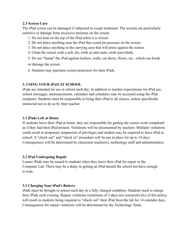#### **2.3 Screen Care**

The iPad screen can be damaged if subjected to rough treatment. The screens are particularly sensitive to damage from excessive pressure on the screen.

- 1. Do not lean on the top of the iPad when it is closed.
- 2. Do not place anything near the iPad that could put pressure on the screen.
- 3. Do not place anything in the carrying case that will press against the screen.
- 4. Clean the screen with a soft, dry cloth or anti-static cloth (provided).
- 5. Do not "bump" the iPad against lockers, walls, car doors, floors, etc., which can break

or damage the screen.

6. Students may purchase screen protectors for their iPads.

## **3. USING YOUR iPAD AT SCHOOL**

iPads are intended for use at school each day. In addition to teacher expectations for iPad use, school messages, announcements, calendars and schedules may be accessed using the iPad computer. Students must be responsible to bring their iPad to all classes, unless specifically instructed not to do so by their teacher.

## **3.1 iPads Left at Home**

If students leave their iPad at home, they are responsible for getting the course work completed as if they had their iPad present. Violations will be documented by teachers. Multiple violations could result in temporary suspension of privileges and student may be required to leave iPad at school. A "check out" and "check in" procedure will be put in place for up to 14 days. Consequences will be determined by classroom teacher(s), technology staff and administration.

## **3.2 iPad Undergoing Repair**

Loaner iPads may be issued to students when they leave their iPad for repair in the Computer Lab. There may be a delay in getting an iPad should the school not have enough to loan.

## **3.3 Charging Your iPad's Battery**

iPads must be brought to school each day in a fully charged condition. Students need to charge their iPads each evening. Repeat violations (minimum of 3 days-not consecutively) of this policy will result in students being required to "check out" their iPad from the lab for 14 calendar days. Consequences for repeat violations will be determined by the Technology Team.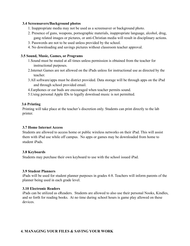#### **3.4 Screensavers/Background photos**

- 1. Inappropriate media may not be used as a screensaver or background photo.
- 2. Presence of guns, weapons, pornographic materials, inappropriate language, alcohol, drug, gang related images or pictures, or anti-Christian media will result in disciplinary actions.
- 3. Passwords are not to be used unless provided by the school.
- 4. No downloading and savings pictures without classroom teacher approval.

#### **3.5 Sound, Music, Games, or Programs**

- 1.Sound must be muted at all times unless permission is obtained from the teacher for instructional purposes.
- 2.Internet Games are not allowed on the iPads unless for instructional use as directed by the teacher.
- 3.All software/apps must be district provided. Data storage will be through apps on the iPad and through school provided email.
- 4.Earphones or ear buds are encouraged when teacher permits sound.
- 5.Using personal Apple IDs to legally download music is not permitted.

#### **3.6 Printing**

Printing will take place at the teacher's discretion only. Students can print directly to the lab printer.

#### **3.7 Home Internet Access**

Students are allowed to access home or public wireless networks on their iPad. This will assist them with iPad use while off campus. No apps or games may be downloaded from home to student iPads.

#### **3.8 Keyboards**

Students may purchase their own keyboard to use with the school issued iPad.

#### **3.9 Student Planners**

iPads will be used for student planner purposes in grades 4-8. Teachers will inform parents of the planner being used in each grade level.

#### **3.10 Electronic Readers**

iPads can be utilized as eReaders. Students are allowed to also use their personal Nooks, Kindles, and so forth for reading books. At no time during school hours is game play allowed on these devices.

#### **4. MANAGING YOUR FILES & SAVING YOUR WORK**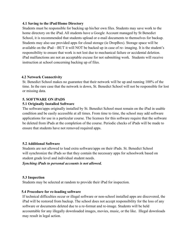#### **4.1 Saving to the iPad/Home Directory**

Students must be responsible for backing up his/her own files. Students may save work to the home directory on the iPad. All students have a Google Account managed by St Benedict School, it is recommended that students upload or e-mail documents to themselves for backup. Students may also use provided apps for cloud storage (ie DropBox). Storage space will be available on the iPad—BUT it will NOT be backed up in case of re- imaging. It is the student's responsibility to ensure that work is not lost due to mechanical failure or accidental deletion. iPad malfunctions are not an acceptable excuse for not submitting work. Students will receive instruction at school concerning backing up of files.

#### **4.2 Network Connectivity**

St. Benedict School makes no guarantee that their network will be up and running 100% of the time. In the rare case that the network is down, St. Benedict School will not be responsible for lost or missing data.

#### **5. SOFTWARE ON iPADS**

#### **5.1 Originally Installed Software**

The software/apps originally installed by St. Benedict School must remain on the iPad in usable condition and be easily accessible at all times. From time to time, the school may add software applications for use in a particular course. The licenses for this software require that the software be deleted from iPads at the completion of the course. Periodic checks of iPads will be made to ensure that students have not removed required apps.

#### **5.2 Additional Software**

Students are not allowed to load extra software/apps on their iPads. St. Benedict School will synchronize the iPads so that they contain the necessary apps for schoolwork based on student grade level and individual student needs.

#### *Synching iPads to personal accounts is not allowed.*

#### **5.3 Inspection**

Students may be selected at random to provide their iPad for inspection.

#### **5.4 Procedure for re-loading software**

If technical difficulties occur or illegal software or non-school installed apps are discovered, the iPad will be restored from backup. The school does not accept responsibility for the loss of any software or documents deleted due to a re-format and re-image. Students will be held accountable for any illegally downloaded images, movies, music, or the like. Illegal downloads may result in legal action.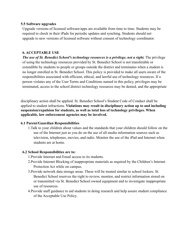#### **5.5 Software upgrades**

Upgrade versions of licensed software/apps are available from time to time. Students may be required to check in their iPads for periodic updates and synching. Students should not upgrade to new versions of licensed software without consent of technology coordinator.

#### **6. ACCEPTABLE USE**

*The use of St. Benedict School's technology resources is a privilege, not a right.* The privilege of using the technology resources provided by St. Benedict School is not transferable or extendible by students to people or groups outside the district and terminates when a student is no longer enrolled in St. Benedict School. This policy is provided to make all users aware of the responsibilities associated with efficient, ethical, and lawful use of technology resources. If a person violates any of the User Terms and Conditions named in this policy, privileges may be terminated, access to the school district technology resources may be denied, and the appropriate

disciplinary action shall be applied. St. Benedict School's Student Code of Conduct shall be applied to student infractions. **Violations may result in disciplinary action up to and including suspension/expulsion for students, as well as total loss of technology privileges. When applicable, law enforcement agencies may be involved.**

#### **6.1 Parent/Guardian Responsibilities**

1.Talk to your children about values and the standards that your children should follow on the use of the Internet just as you do on the use of all media information sources such as television, telephones, movies, and radio. Monitor the use of the iPad and Internet when students are at home.

#### **6.2 School Responsibilities are to:**

- 1.Provide Internet and Email access to its students.
- 2.Provide Internet Blocking of inappropriate materials as required by the Children's Internet Protection Act while on campus.
- 3.Provide network data storage areas. These will be treated similar to school lockers. St. Benedict School reserves the right to review, monitor, and restrict information stored on or transmitted via St. Benedict School owned equipment and to investigate inappropriate use of resources.
- 4.Provide staff guidance to aid students in doing research and help assure student compliance of the Acceptable Use Policy.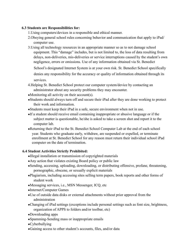#### **6.3 Students are Responsibilities for:**

- 1.Using computers/devices in a responsible and ethical manner.
- 2.Obeying general school rules concerning behavior and communication that apply to iPad/ computer use.
- 3.Using all technology resources in an appropriate manner so as to not damage school equipment. This "damage" includes, but is not limited to, the loss of data resulting from delays, non-deliveries, mis-deliveries or service interruptions caused by the student's own negligence, errors or omissions. Use of any information obtained via St. Benedict

School's designated Internet System is at your own risk. St. Benedict School specifically

denies any responsibility for the accuracy or quality of information obtained through its services.

- 4.Helping St. Benedict School protect our computer system/device by contacting an administrator about any security problems they may encounter.
- Monitoring all activity on their account(s).
- ●Students should always turn off and secure their iPad after they are done working to protect their work and information.
- ●Students must keep their iPad in a safe, secure environment when not in use.
- ●If a student should receive email containing inappropriate or abusive language or if the subject matter is questionable, he/she is asked to take a screen shot and report it to the computer lab.
- ●Returning their iPad to the St. Benedict School Computer Lab at the end of each school year. Students who graduate early, withdraw, are suspended or expelled, or terminate enrollment at St. Benedict School for any reason must return their individual school iPad computer on the date of termination.

## **6.4 Student Activities Strictly Prohibited:**

- ●Illegal installation or transmission of copyrighted materials
- ●Any action that violates existing Board policy or public law
- ●Sending, accessing, uploading, downloading, or distributing offensive, profane, threatening, pornographic, obscene, or sexually explicit materials
- ●Plagiarism, including accessing sites selling term papers, book reports and other forms of student work
- ●Messaging services, i.e., MSN Messenger, ICQ, etc
- ●Internet/Computer Games
- ●Use of outside data disks or external attachments without prior approval from the administration
- ●Changing of iPad settings (exceptions include personal settings such as font size, brightness, organization of APPS to folders and/or toolbar, etc)
- ●Downloading apps
- ●Spamming-Sending mass or inappropriate emails
- ●Cyberbullying
- ●Gaining access to other student's accounts, files, and/or data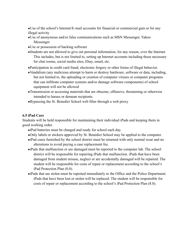●Use of the school's Internet/E-mail accounts for financial or commercial gain or for any illegal activity

- ●Use of anonymous and/or false communications such as MSN Messenger, Yahoo Messenger
- ●Use or possession of hacking software
- ●Students are not allowed to give out personal information, for any reason, over the Internet. This includes, but is not limited to, setting up Internet accounts including those necessary for chat rooms, social media sites, Ebay, email, etc.
- ●Participation in credit card fraud, electronic forgery or other forms of illegal behavior.
- ●Vandalism (any malicious attempt to harm or destroy hardware, software or data, including, but not limited to, the uploading or creation of computer viruses or computer programs that can infiltrate computer systems and/or damage software components) of school equipment will not be allowed
- ●Transmission or accessing materials that are obscene, offensive, threatening or otherwise intended to harass or demean recipients.
- ●Bypassing the St. Benedict School web filter through a web proxy

#### **6.5 iPad Care**

Students will be held responsible for maintaining their individual iPads and keeping them in good working order.

- ●iPad batteries must be charged and ready for school each day.
- ●Only labels or stickers approved by St. Benedict School may be applied to the computer.
- ●iPad cases furnished by the school district must be returned with only normal wear and no alterations to avoid paying a case replacement fee.
- ●iPads that malfunction or are damaged must be reported to the computer lab. The school district will be responsible for repairing iPads that malfunction. iPads that have been damaged from student misuse, neglect or are accidentally damaged will be repaired. The student will be responsible for costs of repair or replacement according to the school's iPad Protection Plan (8.0).
- ●iPads that are stolen must be reported immediately to the Office and the Police Department. iPads that have been lost or stolen will be replaced. The student will be responsible for costs of repair or replacement according to the school's iPad Protection Plan (8.0).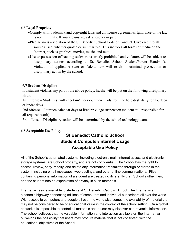#### **6.6 Legal Propriety**

- ●Comply with trademark and copyright laws and all license agreements. Ignorance of the law is not immunity. If you are unsure, ask a teacher or parent.
- ●Plagiarism is a violation of the St. Benedict School Code of Conduct. Give credit to all sources used, whether quoted or summarized. This includes all forms of media on the Internet, such as graphics, movies, music, and text.
- ●Use or possession of hacking software is strictly prohibited and violators will be subject to disciplinary actions according to St. Benedict School Student/Parent Handbook. Violation of applicable state or federal law will result in criminal prosecution or disciplinary action by the school.

## **6.7 Student Discipline**

If a student violates any part of the above policy, he/she will be put on the following disciplinary steps:

1st Offense – Student(s) will check-in/check-out their iPads from the help desk daily for fourteen calendar days.

2nd offense – Fourteen calendar days of iPad privilege suspension (student still responsible for all required work)

3rd offense – Disciplinary action will be determined by the school technology team.

## **6.8 Acceptable Use Policy**

## **St Benedict Catholic School Student Computer/Internet Usage Acceptable Use Policy**

All of the School's automated systems, including electronic mail, Internet access and electronic storage systems, are School property, and are not confidential. The School has the right to access, review, copy, modify, and delete any information transmitted through or stored in the system, including email messages, web postings, and other online communications. Files containing personal information of a student are treated no differently than School's other files, and the student has no expectation of privacy in such materials.

Internet access is available to students at St. Benedict Catholic School. The Internet is an electronic highway connecting millions of computers and individual subscribers all over the world. With access to computers and people all over the world also comes the availability of material that may not be considered to be of educational value in the context of the school setting. On a global network it is impossible to control all materials and a user may discover controversial information. The school believes that the valuable information and interaction available on the Internet far outweighs the possibility that users may procure material that is not consistent with the educational objectives of the School.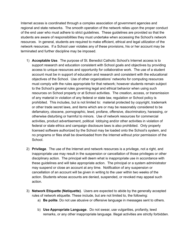Internet access is coordinated through a complex association of government agencies and regional and state networks. The smooth operation of the network relies upon the proper conduct of the end user who must adhere to strict guidelines. These guidelines are provided so that the students are aware of responsibilities they must undertake when accessing the School's network resources. In general, students are required to make efficient, ethical and legal utilization of the network resources. If a School user violates any of these provisions, his or her account may be terminated and further discipline may be imposed.

- 1) **Acceptable Use**. The purpose of St. Benedict Catholic School's Internet access is to support research and education consistent with School goals and objectives by providing access to unique resources and opportunity for collaborative work. The use of a student account must be in support of education and research and consistent with the educational objectives of the School. Use of other organizations' networks for computing resources must comply with the rules appropriate for that network; however students remain subject to the School's general rules governing legal and ethical behavior when using such resources on School property or at School activities. The creation, access, or transmission of any material in violation of any federal or state law, regulation or School policy is prohibited. This includes, but is not limited to: material protected by copyright, trademark or other trade secret laws, and items which are or may be reasonably considered to be defamatory, obscene, pornographic, lewd, profane, offensive, discriminatory, harassing, or otherwise disturbing or harmful to minors. Use of network resources for commercial activities, product advertisement, political lobbying and/or other activities in violation of federal or state ethics and campaign disclosure laws is also prohibited. Only properly licensed software authorized by the School may be loaded onto the School's system, and no programs or files shall be downloaded from the Internet without prior permission of the School.
- 2) **Privilege**. The use of the Internet and network resources is a privilege, not a right, and inappropriate use may result in the suspension or cancellation of those privileges or other disciplinary action. The principal will deem what is inappropriate use in accordance with these guidelines and will take appropriate action. The principal or a system administrator may suspend or close an account at any time. Notification of any suspension or cancellation of an account will be given in writing to the user within two weeks of the action. Students whose accounts are denied, suspended, or revoked may appeal such action.
- 3) **Network Etiquette (Netiquette)**. Users are expected to abide by the generally accepted rules of network etiquette. These include, but are not limited to, the following:
	- a) **Be polite**. Do not use abusive or offensive language in messages sent to others.
	- b) **Use Appropriate Language**. Do not swear, use vulgarities, profanity, lewd remarks, or any other inappropriate language. Illegal activities are strictly forbidden.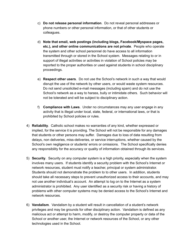- c) **Do not release personal information**. Do not reveal personal addresses or phone numbers or other personal information, or that of other students or colleagues.
- d) **Note that email, web postings (including blogs, Facebook/Myspace pages, etc.), and other online communications are not private**. People who operate the system and other school personnel do have access to all information transmitted through or stored in the School system. Messages relating to or in support of illegal activities or activities in violation of School policies may be reported to the proper authorities or used against students in school disciplinary proceedings.
- e) **Respect other users**. Do not use the School's network in such a way that would disrupt the use of the network by other users, or would waste system resources. Do not send unsolicited e-mail messages (including spam) and do not use the School's network as a way to harass, bully or intimidate others. Such behavior will not be tolerated and will be subject to disciplinary action.
- f) **Compliance with Laws**. Under no circumstances may any user engage in any activity that is illegal under local, state, federal, or international laws, or that is prohibited by School policies or rules.
- 4) **Reliability**. Catholic school makes no warranties of any kind, whether expressed or implied, for the service it is providing. The School will not be responsible for any damages that students or other persons may suffer. Damages due to loss of data resulting from delays, non deliveries, miss-deliveries, or service interruptions, whether caused by the School's own negligence or students' errors or omissions. The School specifically denies any responsibility for the accuracy or quality of information obtained through its services.
- 5) **Security**. Security on any computer system is a high priority, especially when the system involves many users. If students identify a security problem with the School's Internet or network resources, student must notify a teacher, principal or system administrator. Students should not demonstrate the problem to to other users. In addition, students should take all necessary steps to prevent unauthorized access to their accounts, and may not use another individual's account. An attempt to log on to the Internet as a system administrator is prohibited. Any user identified as a security risk or having a history of problems with other computer systems may be denied access to the School's Internet and network resources.
- 6) **Vandalism**. Vandalism by a student will result in cancellation of a student's network privileges and may be grounds for other disciplinary action. Vandalism is defined as any malicious act or attempt to harm, modify, or destroy the computer property or data of the School or another user, the Internet or network resources of the School, or any other technologies used in the School.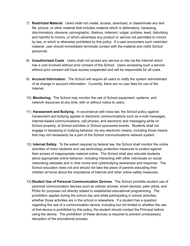- 7) **Restricted Material**. Users shall not create, access, download, or disseminate any text file, picture, or other material that includes material which is defamatory, harassing, discriminatory, obscene, pornographic, libelous, indecent, vulgar, profane, lewd, disturbing and harmful to minors, or which advertises any product or service not permitted to minors by law, or which is otherwise prohibited by this policy. If a user encounters such restricted material, user should immediately terminate contact with the material and notify School personnel.
- 8) **Unauthorized Costs**. Users shall not access any service or site via the Internet which has a cost involved without prior consent of the School. Users accessing such a service without prior consent will have access suspended and will be responsible for all costs.
- 9) **Account Information**. The School will require all users to notify the system administrator of all change in account information. Currently, there are no user fees for use of the Internet.
- 10) **Monitoring**. The School may monitor the use of School equipment, systems, and network resources at any time, with or without notice to users.
- 11) **Harassment and Bullying**. In accordance with Iowa law, the School policy against harassment and bullying applies to electronic communications such as e-mail messages, Internet-based communications, cell phones, and electronic text messaging while on School property, at School activities or School sponsored events. Students shall not engage in harassing or bullying behavior via any electronic means, including those means that may not necessarily be a part of the School communications network system.
- 12) **Internet Safety**. To the extent required by federal law, the School shall monitor the online activities of minor students and use technology protection measures to protect against their access of inappropriate material online. The School shall also educate students about appropriate online behavior, including interacting with other individuals on social networking websites and in chat rooms and cyberbullying awareness and response. The School education does not and should not take the place of parents educating their children at home about the importance of Internet and other online safety measures.
- 13) **Student Use of Personal Communication Devices**. The School prohibits student use of personal communication devices such as cellular phones, smart devices, palm pilots, and PDAs for purposes not directly related to established educational programming. The prohibition applies during the school day and while participating in school activities, whether those activities are in the school or elsewhere. If a student has a question regarding the use of a communication device, including but not limited to whether the use of that device is prohibited by this policy, the student should contact the Principal before using the device. The prohibition of these devices is required to prevent unnecessary disruption of the educational process.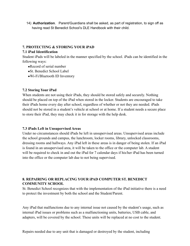14) **Authorization**. Parent/Guardians shall be asked, as part of registration, to sign off as having read St Benedict School's DLE Handbook with their child.

## **7. PROTECTING & STORING YOUR iPAD**

## **7.1 iPad Identification**

Student iPads will be labeled in the manner specified by the school. iPads can be identified in the following ways:

- Record of serial number
- ●St. Benedict School Label
- ●Wi-Fi/Bluetooth ID Inventory

## **7.2 Storing Your iPad**

When students are not using their iPads, they should be stored safely and securely. Nothing should be placed on top of the iPad when stored in the locker. Students are encouraged to take their iPads home every day after school, regardless of whether or not they are needed. iPads should not be stored in a student's vehicle at school or at home. If a student needs a secure place to store their iPad, they may check it in for storage with the help desk.

#### **7.3 iPads Left in Unsupervised Areas**

Under no circumstances should iPads be left in unsupervised areas. Unsupervised areas include the school grounds and campus, the lunchroom, locker rooms, library, unlocked classrooms, dressing rooms and hallways. Any iPad left in these areas is in danger of being stolen. If an iPad is found in an unsupervised area, it will be taken to the office or the computer lab. A student will be required to check in and out the iPad for 7 calendar days if his/her iPad has been turned into the office or the computer lab due to not being supervised.

## **8. REPAIRING OR REPLACING YOUR iPAD COMPUTER ST. BENEDICT COMMUNITY SCHOOL**

St. Benedict School recognizes that with the implementation of the iPad initiative there is a need to protect the investment by both the school and the Student/Parent.

Any iPad that malfunctions due to any internal issue not caused by the student's usage, such as internal iPad issues or problems such as a malfunctioning units, batteries, USB cable, and adapters, will be covered by the school. These units will be replaced at no cost to the student.